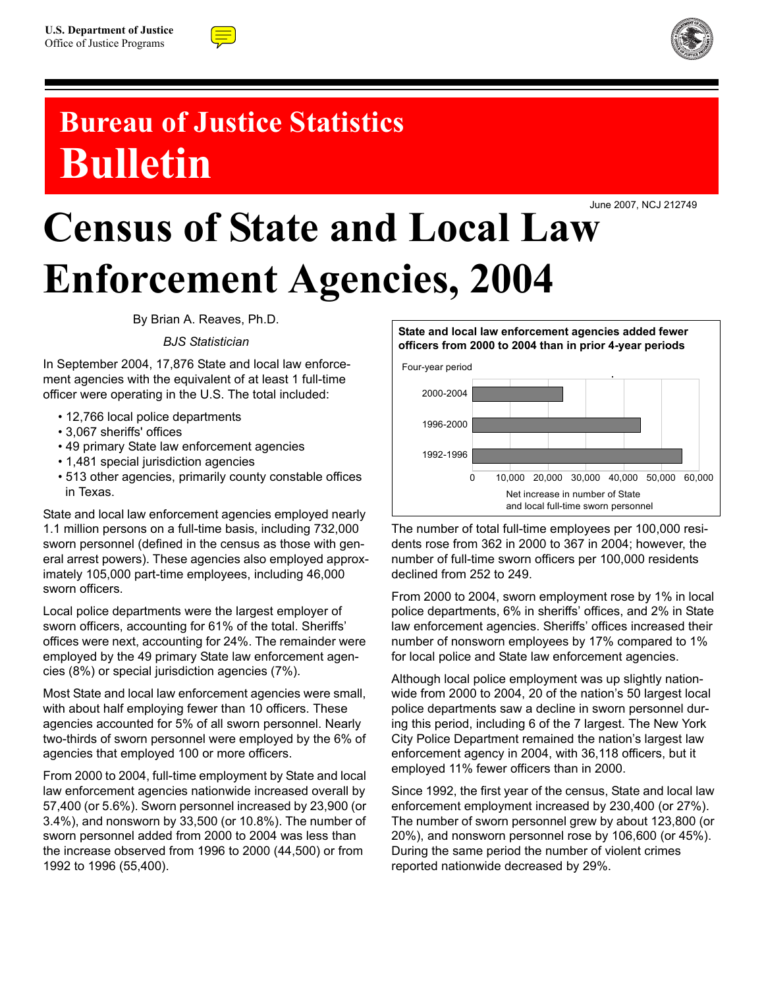



## **Bureau of Justice Statistics Bulletin**

# Census of State and Local Law June 2007, NCJ 212749 **Enforcement Agencies, 2004**

By Brian A. Reaves, Ph.D.

*BJS Statistician*

In September 2004, 17,876 State and local law enforcement agencies with the equivalent of at least 1 full-time officer were operating in the U.S. The total included:

- 12,766 local police departments
- 3,067 sheriffs' offices
- 49 primary State law enforcement agencies
- 1,481 special jurisdiction agencies
- 513 other agencies, primarily county constable offices in Texas.

State and local law enforcement agencies employed nearly 1.1 million persons on a full-time basis, including 732,000 sworn personnel (defined in the census as those with general arrest powers). These agencies also employed approximately 105,000 part-time employees, including 46,000 sworn officers.

Local police departments were the largest employer of sworn officers, accounting for 61% of the total. Sheriffs' offices were next, accounting for 24%. The remainder were employed by the 49 primary State law enforcement agencies (8%) or special jurisdiction agencies (7%).

Most State and local law enforcement agencies were small, with about half employing fewer than 10 officers. These agencies accounted for 5% of all sworn personnel. Nearly two-thirds of sworn personnel were employed by the 6% of agencies that employed 100 or more officers.

From 2000 to 2004, full-time employment by State and local law enforcement agencies nationwide increased overall by 57,400 (or 5.6%). Sworn personnel increased by 23,900 (or 3.4%), and nonsworn by 33,500 (or 10.8%). The number of sworn personnel added from 2000 to 2004 was less than the increase observed from 1996 to 2000 (44,500) or from 1992 to 1996 (55,400).

### **officers from 2000 to 2004 than in prior 4-year periods** Net increase in number of State and local full-time sworn personnel 1992-1996 1996-2000 2000-2004 0 10,000 20,000 30,000 40,000 50,000 60,000 Four-year period

**State and local law enforcement agencies added fewer** 

The number of total full-time employees per 100,000 residents rose from 362 in 2000 to 367 in 2004; however, the number of full-time sworn officers per 100,000 residents declined from 252 to 249.

From 2000 to 2004, sworn employment rose by 1% in local police departments, 6% in sheriffs' offices, and 2% in State law enforcement agencies. Sheriffs' offices increased their number of nonsworn employees by 17% compared to 1% for local police and State law enforcement agencies.

Although local police employment was up slightly nationwide from 2000 to 2004, 20 of the nation's 50 largest local police departments saw a decline in sworn personnel during this period, including 6 of the 7 largest. The New York City Police Department remained the nation's largest law enforcement agency in 2004, with 36,118 officers, but it employed 11% fewer officers than in 2000.

Since 1992, the first year of the census, State and local law enforcement employment increased by 230,400 (or 27%). The number of sworn personnel grew by about 123,800 (or 20%), and nonsworn personnel rose by 106,600 (or 45%). During the same period the number of violent crimes reported nationwide decreased by 29%.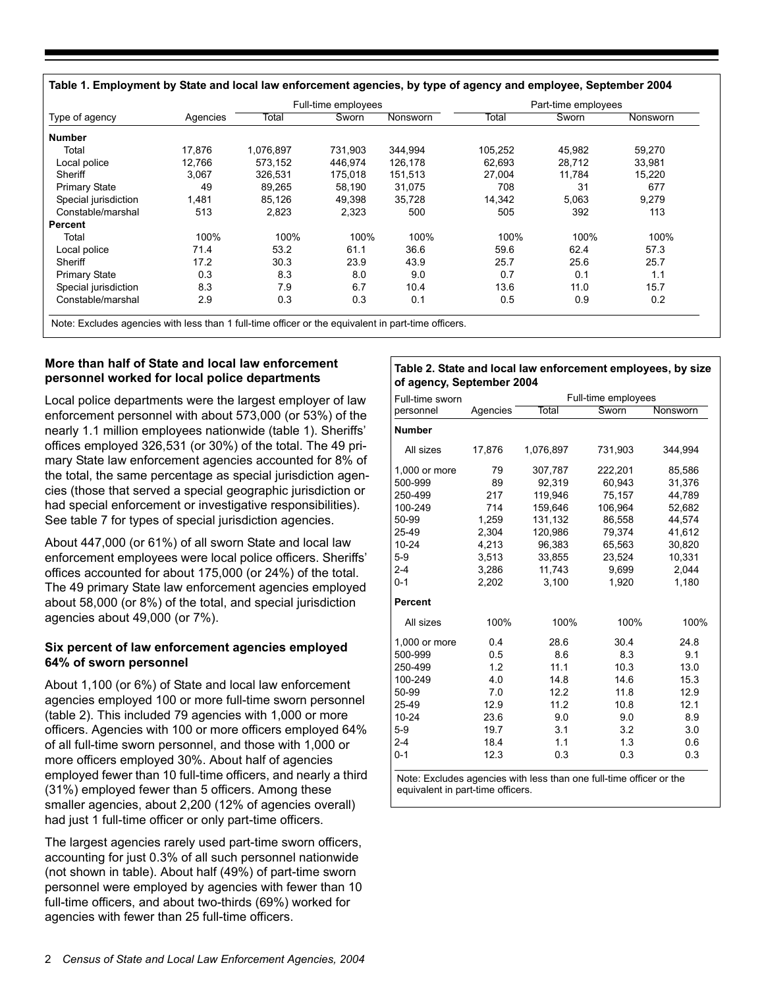|                      |          |           | Full-time employees |          | Part-time employees |        |          |
|----------------------|----------|-----------|---------------------|----------|---------------------|--------|----------|
| Type of agency       | Agencies | Total     | Sworn               | Nonsworn | Total               | Sworn  | Nonsworn |
| <b>Number</b>        |          |           |                     |          |                     |        |          |
| Total                | 17.876   | 1,076,897 | 731,903             | 344,994  | 105,252             | 45,982 | 59,270   |
| Local police         | 12.766   | 573.152   | 446.974             | 126,178  | 62.693              | 28,712 | 33,981   |
| Sheriff              | 3,067    | 326,531   | 175,018             | 151,513  | 27,004              | 11,784 | 15,220   |
| <b>Primary State</b> | 49       | 89,265    | 58,190              | 31,075   | 708                 | 31     | 677      |
| Special jurisdiction | 1,481    | 85,126    | 49,398              | 35,728   | 14,342              | 5,063  | 9,279    |
| Constable/marshal    | 513      | 2,823     | 2,323               | 500      | 505                 | 392    | 113      |
| Percent              |          |           |                     |          |                     |        |          |
| Total                | 100%     | 100%      | 100%                | 100%     | 100%                | 100%   | 100%     |
| Local police         | 71.4     | 53.2      | 61.1                | 36.6     | 59.6                | 62.4   | 57.3     |
| Sheriff              | 17.2     | 30.3      | 23.9                | 43.9     | 25.7                | 25.6   | 25.7     |
| <b>Primary State</b> | 0.3      | 8.3       | 8.0                 | 9.0      | 0.7                 | 0.1    | 1.1      |
| Special jurisdiction | 8.3      | 7.9       | 6.7                 | 10.4     | 13.6                | 11.0   | 15.7     |
| Constable/marshal    | 2.9      | 0.3       | 0.3                 | 0.1      | 0.5                 | 0.9    | 0.2      |

Note: Excludes agencies with less than 1 full-time officer or the equivalent in part-time officers.

#### **More than half of State and local law enforcement personnel worked for local police departments**

Local police departments were the largest employer of law enforcement personnel with about 573,000 (or 53%) of the nearly 1.1 million employees nationwide (table 1). Sheriffs' offices employed 326,531 (or 30%) of the total. The 49 primary State law enforcement agencies accounted for 8% of the total, the same percentage as special jurisdiction agencies (those that served a special geographic jurisdiction or had special enforcement or investigative responsibilities). See table 7 for types of special jurisdiction agencies.

About 447,000 (or 61%) of all sworn State and local law enforcement employees were local police officers. Sheriffs' offices accounted for about 175,000 (or 24%) of the total. The 49 primary State law enforcement agencies employed about 58,000 (or 8%) of the total, and special jurisdiction agencies about 49,000 (or 7%).

#### **Six percent of law enforcement agencies employed 64% of sworn personnel**

About 1,100 (or 6%) of State and local law enforcement agencies employed 100 or more full-time sworn personnel (table 2). This included 79 agencies with 1,000 or more officers. Agencies with 100 or more officers employed 64% of all full-time sworn personnel, and those with 1,000 or more officers employed 30%. About half of agencies employed fewer than 10 full-time officers, and nearly a third (31%) employed fewer than 5 officers. Among these smaller agencies, about 2,200 (12% of agencies overall) had just 1 full-time officer or only part-time officers.

The largest agencies rarely used part-time sworn officers, accounting for just 0.3% of all such personnel nationwide (not shown in table). About half (49%) of part-time sworn personnel were employed by agencies with fewer than 10 full-time officers, and about two-thirds (69%) worked for agencies with fewer than 25 full-time officers.

#### **Table 2. State and local law enforcement employees, by size of agency, September 2004**

| Full-time sworn |          |           | Full-time employees |          |  |  |
|-----------------|----------|-----------|---------------------|----------|--|--|
| personnel       | Agencies | Total     | Sworn               | Nonsworn |  |  |
| <b>Number</b>   |          |           |                     |          |  |  |
| All sizes       | 17,876   | 1,076,897 | 731,903             | 344,994  |  |  |
| 1,000 or more   | 79       | 307,787   | 222,201             | 85,586   |  |  |
| 500-999         | 89       | 92,319    | 60,943              | 31,376   |  |  |
| 250-499         | 217      | 119,946   | 75,157              | 44,789   |  |  |
| 100-249         | 714      | 159.646   | 106.964             | 52.682   |  |  |
| 50-99           | 1,259    | 131,132   | 86,558              | 44,574   |  |  |
| 25-49           | 2.304    | 120,986   | 79,374              | 41.612   |  |  |
| $10 - 24$       | 4,213    | 96,383    | 65,563              | 30,820   |  |  |
| $5-9$           | 3,513    | 33,855    | 23,524              | 10,331   |  |  |
| $2 - 4$         | 3,286    | 11,743    | 9,699               | 2,044    |  |  |
| $0 - 1$         | 2,202    | 3,100     | 1,920               | 1,180    |  |  |
| <b>Percent</b>  |          |           |                     |          |  |  |
| All sizes       | 100%     | 100%      | 100%                | 100%     |  |  |
| 1,000 or more   | 0.4      | 28.6      | 30.4                | 24.8     |  |  |
| 500-999         | 0.5      | 8.6       | 8.3                 | 9.1      |  |  |
| 250-499         | 1.2      | 11.1      | 10.3                | 13.0     |  |  |
| 100-249         | 4.0      | 14.8      | 14.6                | 15.3     |  |  |
| 50-99           | 7.0      | 12.2      | 11.8                | 12.9     |  |  |
| 25-49           | 12.9     | 11.2      | 10.8                | 12.1     |  |  |
| $10 - 24$       | 23.6     | 9.0       | 9.0                 | 8.9      |  |  |
| $5-9$           | 19.7     | 3.1       | 3.2                 | 3.0      |  |  |
| $2 - 4$         | 18.4     | 1.1       | 1.3                 | 0.6      |  |  |
| $0 - 1$         | 12.3     | 0.3       | 0.3                 | 0.3      |  |  |

Note: Excludes agencies with less than one full-time officer or the equivalent in part-time officers.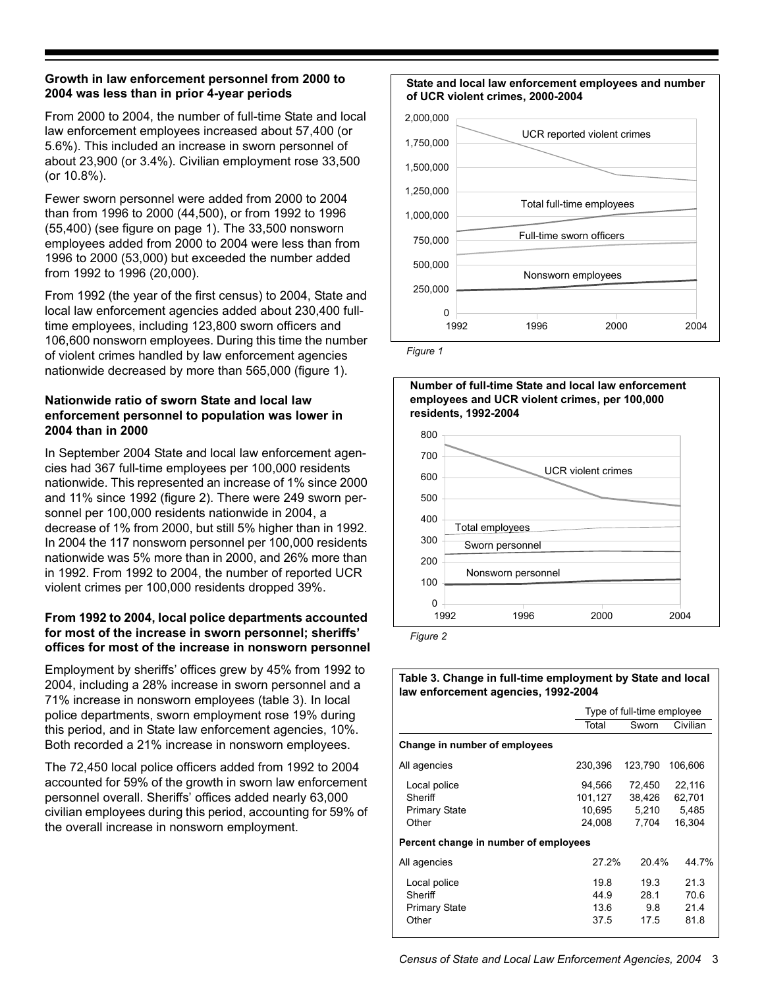#### **Growth in law enforcement personnel from 2000 to 2004 was less than in prior 4-year periods**

From 2000 to 2004, the number of full-time State and local law enforcement employees increased about 57,400 (or 5.6%). This included an increase in sworn personnel of about 23,900 (or 3.4%). Civilian employment rose 33,500 (or 10.8%).

Fewer sworn personnel were added from 2000 to 2004 than from 1996 to 2000 (44,500), or from 1992 to 1996 (55,400) (see figure on page 1). The 33,500 nonsworn employees added from 2000 to 2004 were less than from 1996 to 2000 (53,000) but exceeded the number added from 1992 to 1996 (20,000).

From 1992 (the year of the first census) to 2004, State and local law enforcement agencies added about 230,400 fulltime employees, including 123,800 sworn officers and 106,600 nonsworn employees. During this time the number of violent crimes handled by law enforcement agencies nationwide decreased by more than 565,000 (figure 1).

#### **Nationwide ratio of sworn State and local law enforcement personnel to population was lower in 2004 than in 2000**

In September 2004 State and local law enforcement agencies had 367 full-time employees per 100,000 residents nationwide. This represented an increase of 1% since 2000 and 11% since 1992 (figure 2). There were 249 sworn personnel per 100,000 residents nationwide in 2004, a decrease of 1% from 2000, but still 5% higher than in 1992. In 2004 the 117 nonsworn personnel per 100,000 residents nationwide was 5% more than in 2000, and 26% more than in 1992. From 1992 to 2004, the number of reported UCR violent crimes per 100,000 residents dropped 39%.

#### **From 1992 to 2004, local police departments accounted for most of the increase in sworn personnel; sheriffs' offices for most of the increase in nonsworn personnel**

Employment by sheriffs' offices grew by 45% from 1992 to 2004, including a 28% increase in sworn personnel and a 71% increase in nonsworn employees (table 3). In local police departments, sworn employment rose 19% during this period, and in State law enforcement agencies, 10%. Both recorded a 21% increase in nonsworn employees.

The 72,450 local police officers added from 1992 to 2004 accounted for 59% of the growth in sworn law enforcement personnel overall. Sheriffs' offices added nearly 63,000 civilian employees during this period, accounting for 59% of the overall increase in nonsworn employment.

#### **State and local law enforcement employees and number of UCR violent crimes, 2000-2004**



*Figure 1*



#### **Table 3. Change in full-time employment by State and local law enforcement agencies, 1992-2004**

|                                                          | Type of full-time employee            |                                    |                                     |  |  |  |  |
|----------------------------------------------------------|---------------------------------------|------------------------------------|-------------------------------------|--|--|--|--|
|                                                          | Total                                 | Sworn                              | Civilian                            |  |  |  |  |
| Change in number of employees                            |                                       |                                    |                                     |  |  |  |  |
| All agencies                                             | 230,396                               | 123.790                            | 106.606                             |  |  |  |  |
| Local police<br>Sheriff<br><b>Primary State</b><br>Other | 94,566<br>101,127<br>10,695<br>24.008 | 72,450<br>38,426<br>5,210<br>7.704 | 22,116<br>62,701<br>5,485<br>16.304 |  |  |  |  |
| Percent change in number of employees                    |                                       |                                    |                                     |  |  |  |  |
| All agencies                                             | 27.2%                                 | 20.4%                              | 44.7%                               |  |  |  |  |
| Local police<br>Sheriff<br>Primary State<br>Other        | 19.8<br>44.9<br>13.6<br>37.5          | 19.3<br>28.1<br>9.8<br>17.5        | 213<br>70.6<br>21.4<br>81.8         |  |  |  |  |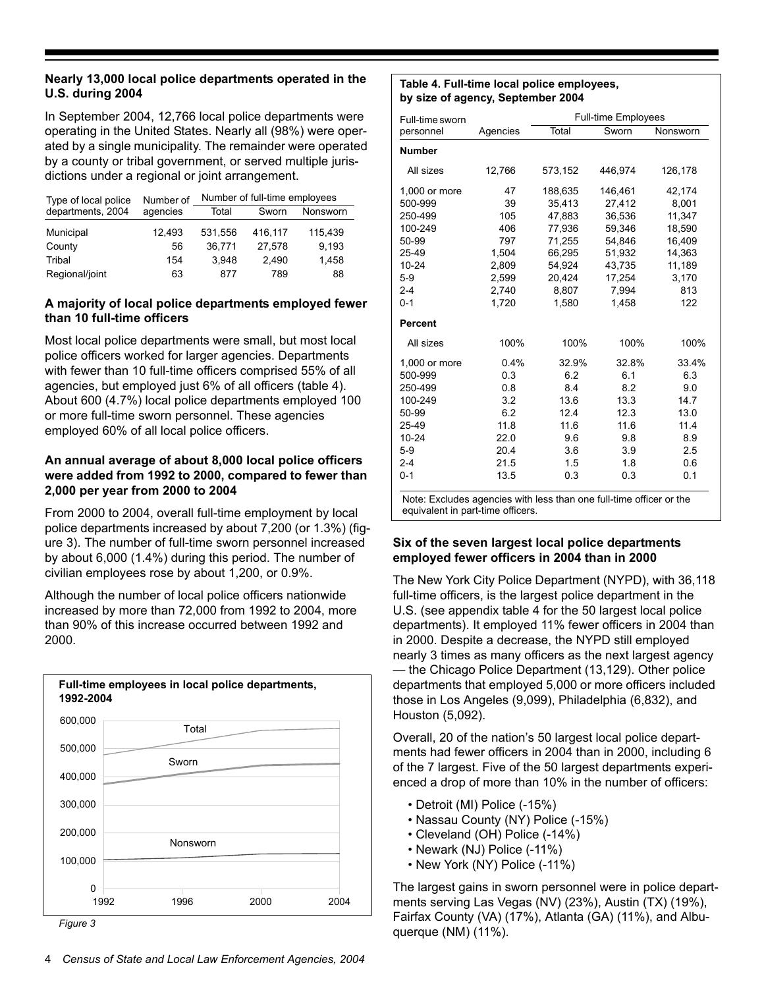#### **Nearly 13,000 local police departments operated in the U.S. during 2004**

In September 2004, 12,766 local police departments were operating in the United States. Nearly all (98%) were operated by a single municipality. The remainder were operated by a county or tribal government, or served multiple jurisdictions under a regional or joint arrangement.

| Type of local police | Number of | Number of full-time employees |         |          |  |
|----------------------|-----------|-------------------------------|---------|----------|--|
| departments, 2004    | agencies  | Total                         | Sworn   | Nonsworn |  |
| Municipal            | 12,493    | 531.556                       | 416,117 | 115.439  |  |
| County               | 56        | 36.771                        | 27.578  | 9.193    |  |
| Tribal               | 154       | 3.948                         | 2.490   | 1,458    |  |
| Regional/joint       | 63        | 877                           | 789     | 88       |  |

#### **A majority of local police departments employed fewer than 10 full-time officers**

Most local police departments were small, but most local police officers worked for larger agencies. Departments with fewer than 10 full-time officers comprised 55% of all agencies, but employed just 6% of all officers (table 4). About 600 (4.7%) local police departments employed 100 or more full-time sworn personnel. These agencies employed 60% of all local police officers.

#### **An annual average of about 8,000 local police officers were added from 1992 to 2000, compared to fewer than 2,000 per year from 2000 to 2004**

From 2000 to 2004, overall full-time employment by local police departments increased by about 7,200 (or 1.3%) (figure 3). The number of full-time sworn personnel increased by about 6,000 (1.4%) during this period. The number of civilian employees rose by about 1,200, or 0.9%.

Although the number of local police officers nationwide increased by more than 72,000 from 1992 to 2004, more than 90% of this increase occurred between 1992 and 2000.



#### *Figure 3*

#### **Table 4. Full-time local police employees, by size of agency, September 2004**

| Full-time sworn |          |         | <b>Full-time Employees</b> |          |
|-----------------|----------|---------|----------------------------|----------|
| personnel       | Agencies | Total   | Sworn                      | Nonsworn |
| <b>Number</b>   |          |         |                            |          |
| All sizes       | 12,766   | 573,152 | 446,974                    | 126,178  |
| 1,000 or more   | 47       | 188,635 | 146,461                    | 42,174   |
| 500-999         | 39       | 35.413  | 27,412                     | 8,001    |
| 250-499         | 105      | 47,883  | 36,536                     | 11.347   |
| 100-249         | 406      | 77.936  | 59.346                     | 18,590   |
| 50-99           | 797      | 71,255  | 54,846                     | 16,409   |
| 25-49           | 1,504    | 66,295  | 51,932                     | 14,363   |
| $10 - 24$       | 2,809    | 54,924  | 43,735                     | 11,189   |
| $5-9$           | 2,599    | 20,424  | 17,254                     | 3,170    |
| $2 - 4$         | 2.740    | 8.807   | 7,994                      | 813      |
| $0 - 1$         | 1,720    | 1,580   | 1,458                      | 122      |
| <b>Percent</b>  |          |         |                            |          |
| All sizes       | 100%     | 100%    | 100%                       | 100%     |
| 1,000 or more   | 0.4%     | 32.9%   | 32.8%                      | 33.4%    |
| 500-999         | 0.3      | 6.2     | 6.1                        | 6.3      |
| 250-499         | 0.8      | 8.4     | 8.2                        | 9.0      |
| 100-249         | 3.2      | 13.6    | 13.3                       | 14.7     |
| 50-99           | 6.2      | 12.4    | 12.3                       | 13.0     |
| 25-49           | 11.8     | 11.6    | 11.6                       | 11.4     |
| $10 - 24$       | 22.0     | 9.6     | 9.8                        | 8.9      |
| $5-9$           | 20.4     | 3.6     | 3.9                        | 2.5      |
| $2 - 4$         | 21.5     | 1.5     | 1.8                        | 0.6      |
| $0 - 1$         | 13.5     | 0.3     | 0.3                        | 0.1      |
|                 |          |         |                            |          |

Note: Excludes agencies with less than one full-time officer or the equivalent in part-time officers.

#### **Six of the seven largest local police departments employed fewer officers in 2004 than in 2000**

The New York City Police Department (NYPD), with 36,118 full-time officers, is the largest police department in the U.S. (see appendix table 4 for the 50 largest local police departments). It employed 11% fewer officers in 2004 than in 2000. Despite a decrease, the NYPD still employed nearly 3 times as many officers as the next largest agency — the Chicago Police Department (13,129). Other police departments that employed 5,000 or more officers included those in Los Angeles (9,099), Philadelphia (6,832), and Houston (5,092).

Overall, 20 of the nation's 50 largest local police departments had fewer officers in 2004 than in 2000, including 6 of the 7 largest. Five of the 50 largest departments experienced a drop of more than 10% in the number of officers:

- Detroit (MI) Police (-15%)
- Nassau County (NY) Police (-15%)
- Cleveland (OH) Police (-14%)
- Newark (NJ) Police (-11%)
- New York (NY) Police (-11%)

The largest gains in sworn personnel were in police departments serving Las Vegas (NV) (23%), Austin (TX) (19%), Fairfax County (VA) (17%), Atlanta (GA) (11%), and Albuquerque (NM) (11%).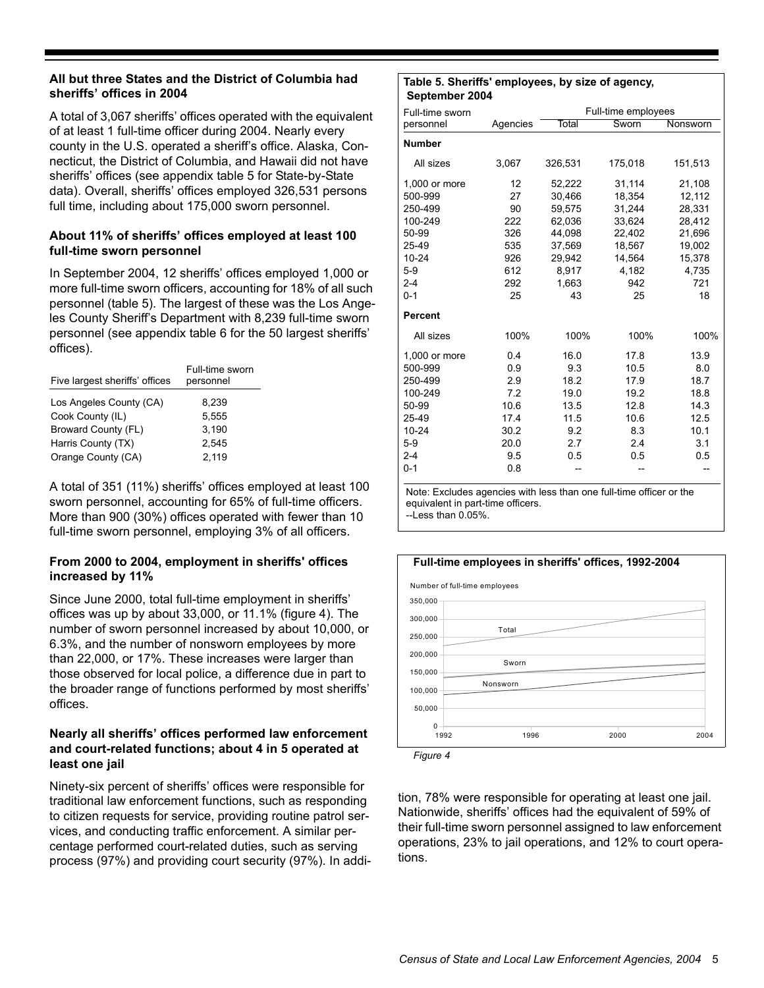#### **All but three States and the District of Columbia had sheriffs' offices in 2004**

A total of 3,067 sheriffs' offices operated with the equivalent of at least 1 full-time officer during 2004. Nearly every county in the U.S. operated a sheriff's office. Alaska, Connecticut, the District of Columbia, and Hawaii did not have sheriffs' offices (see appendix table 5 for State-by-State data). Overall, sheriffs' offices employed 326,531 persons full time, including about 175,000 sworn personnel.

#### **About 11% of sheriffs' offices employed at least 100 full-time sworn personnel**

In September 2004, 12 sheriffs' offices employed 1,000 or more full-time sworn officers, accounting for 18% of all such personnel (table 5). The largest of these was the Los Angeles County Sheriff's Department with 8,239 full-time sworn personnel (see appendix table 6 for the 50 largest sheriffs' offices).

| Five largest sheriffs' offices | Full-time sworn<br>personnel |
|--------------------------------|------------------------------|
| Los Angeles County (CA)        | 8.239                        |
| Cook County (IL)               | 5.555                        |
| Broward County (FL)            | 3,190                        |
| Harris County (TX)             | 2.545                        |
| Orange County (CA)             | 2.119                        |

A total of 351 (11%) sheriffs' offices employed at least 100 sworn personnel, accounting for 65% of full-time officers. More than 900 (30%) offices operated with fewer than 10 full-time sworn personnel, employing 3% of all officers.

#### **From 2000 to 2004, employment in sheriffs' offices increased by 11%**

Since June 2000, total full-time employment in sheriffs' offices was up by about 33,000, or 11.1% (figure 4). The number of sworn personnel increased by about 10,000, or 6.3%, and the number of nonsworn employees by more than 22,000, or 17%. These increases were larger than those observed for local police, a difference due in part to the broader range of functions performed by most sheriffs' offices.

#### **Nearly all sheriffs' offices performed law enforcement and court-related functions; about 4 in 5 operated at least one jail**

Ninety-six percent of sheriffs' offices were responsible for traditional law enforcement functions, such as responding to citizen requests for service, providing routine patrol services, and conducting traffic enforcement. A similar percentage performed court-related duties, such as serving process (97%) and providing court security (97%). In addi-

#### **Table 5. Sheriffs' employees, by size of agency, September 2004**

| Full-time sworn |          |         | Full-time employees |          |
|-----------------|----------|---------|---------------------|----------|
| personnel       | Agencies | Total   | Sworn               | Nonsworn |
| <b>Number</b>   |          |         |                     |          |
| All sizes       | 3,067    | 326,531 | 175,018             | 151,513  |
|                 |          |         |                     |          |
| 1,000 or more   | 12       | 52,222  | 31,114              | 21,108   |
| 500-999         | 27       | 30,466  | 18,354              | 12,112   |
| 250-499         | 90       | 59,575  | 31,244              | 28,331   |
| 100-249         | 222      | 62,036  | 33,624              | 28,412   |
| 50-99           | 326      | 44,098  | 22,402              | 21,696   |
| 25-49           | 535      | 37,569  | 18,567              | 19,002   |
| $10 - 24$       | 926      | 29.942  | 14,564              | 15,378   |
| $5-9$           | 612      | 8,917   | 4,182               | 4,735    |
| $2 - 4$         | 292      | 1,663   | 942                 | 721      |
| $0 - 1$         | 25       | 43      | 25                  | 18       |
| <b>Percent</b>  |          |         |                     |          |
| All sizes       | 100%     | 100%    | 100%                | 100%     |
| 1,000 or more   | 0.4      | 16.0    | 17.8                | 13.9     |
| 500-999         | 0.9      | 9.3     | 10.5                | 8.0      |
| 250-499         | 2.9      | 18.2    | 17.9                | 18.7     |
| 100-249         | 7.2      | 19.0    | 19.2                | 18.8     |
| 50-99           | 10.6     | 13.5    | 12.8                | 14.3     |
| 25-49           | 17.4     | 11.5    | 10.6                | 12.5     |
| $10 - 24$       | 30.2     | 9.2     | 8.3                 | 10.1     |
| $5-9$           | 20.0     | 2.7     | 2.4                 | 3.1      |
| $2 - 4$         | 9.5      | 0.5     | 0.5                 | 0.5      |
| $0 - 1$         | 0.8      |         |                     |          |

Note: Excludes agencies with less than one full-time officer or the equivalent in part-time officers.

--Less than 0.05%.



*Figure 4*

tion, 78% were responsible for operating at least one jail. Nationwide, sheriffs' offices had the equivalent of 59% of their full-time sworn personnel assigned to law enforcement operations, 23% to jail operations, and 12% to court operations.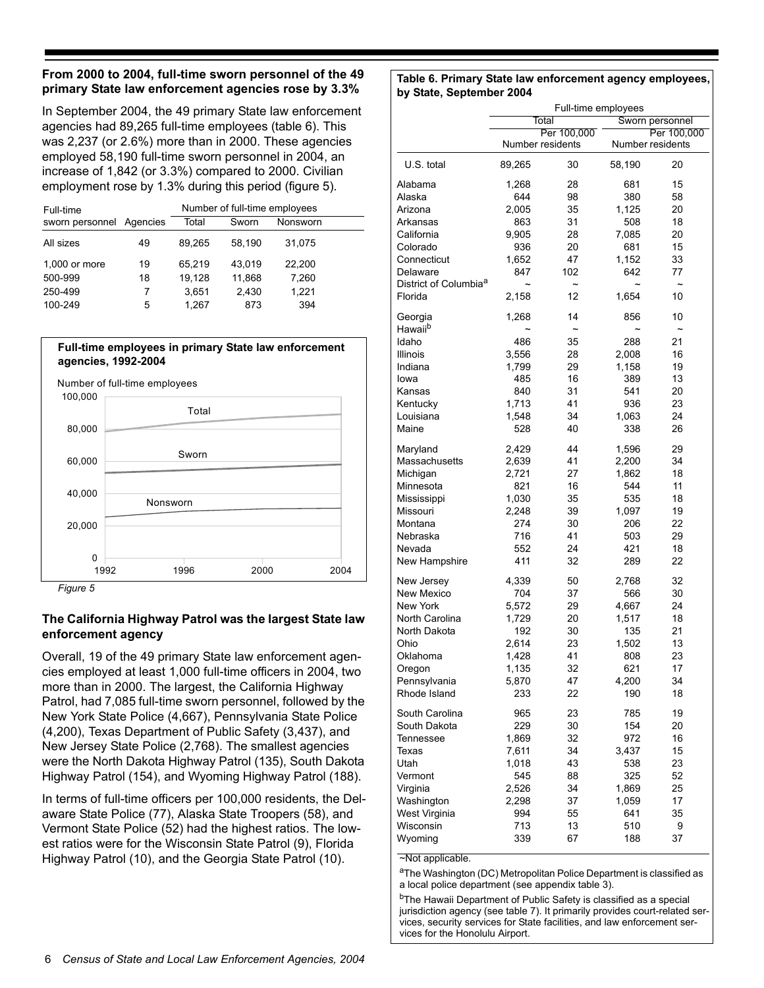#### **From 2000 to 2004, full-time sworn personnel of the 49 primary State law enforcement agencies rose by 3.3%**

In September 2004, the 49 primary State law enforcement agencies had 89,265 full-time employees (table 6). This was 2,237 (or 2.6%) more than in 2000. These agencies employed 58,190 full-time sworn personnel in 2004, an increase of 1,842 (or 3.3%) compared to 2000. Civilian employment rose by 1.3% during this period (figure 5).

| Full-time       | Number of full-time employees |        |        |          |  |  |
|-----------------|-------------------------------|--------|--------|----------|--|--|
| sworn personnel | Agencies                      | Total  | Sworn  | Nonsworn |  |  |
| All sizes       | 49                            | 89,265 | 58,190 | 31,075   |  |  |
| 1,000 or more   | 19                            | 65,219 | 43.019 | 22,200   |  |  |
| 500-999         | 18                            | 19.128 | 11.868 | 7,260    |  |  |
| 250-499         |                               | 3.651  | 2,430  | 1.221    |  |  |
| 100-249         | 5                             | 1.267  | 873    | 394      |  |  |

#### **Full-time employees in primary State law enforcement agencies, 1992-2004**



*Figure 5*

#### **The California Highway Patrol was the largest State law enforcement agency**

Overall, 19 of the 49 primary State law enforcement agencies employed at least 1,000 full-time officers in 2004, two more than in 2000. The largest, the California Highway Patrol, had 7,085 full-time sworn personnel, followed by the New York State Police (4,667), Pennsylvania State Police (4,200), Texas Department of Public Safety (3,437), and New Jersey State Police (2,768). The smallest agencies were the North Dakota Highway Patrol (135), South Dakota Highway Patrol (154), and Wyoming Highway Patrol (188).

In terms of full-time officers per 100,000 residents, the Delaware State Police (77), Alaska State Troopers (58), and Vermont State Police (52) had the highest ratios. The lowest ratios were for the Wisconsin State Patrol (9), Florida Highway Patrol (10), and the Georgia State Patrol (10).

#### **Table 6. Primary State law enforcement agency employees, by State, September 2004**

|                                   | Full-time employees                     |                  |                       |                             |  |  |
|-----------------------------------|-----------------------------------------|------------------|-----------------------|-----------------------------|--|--|
|                                   | Total<br>Sworn personnel<br>Per 100,000 |                  |                       |                             |  |  |
|                                   |                                         | Per 100,000      |                       |                             |  |  |
|                                   | Number residents                        |                  | Number residents      |                             |  |  |
| U.S. total                        | 89,265                                  | 30               | 58,190                | 20                          |  |  |
| Alabama                           | 1,268                                   | 28               | 681                   | 15                          |  |  |
| Alaska                            | 644                                     | 98               | 380                   | 58                          |  |  |
| Arizona                           | 2,005                                   | 35               | 1,125                 | 20                          |  |  |
| Arkansas                          | 863                                     | 31               | 508                   | 18                          |  |  |
| California                        | 9,905                                   | 28               | 7,085                 | 20                          |  |  |
| Colorado                          | 936                                     | 20               | 681                   | 15                          |  |  |
| Connecticut                       | 1,652                                   | 47               | 1,152                 | 33                          |  |  |
| Delaware                          | 847                                     | 102              | 642                   | 77                          |  |  |
| District of Columbia <sup>a</sup> | $\tilde{}$                              | $\tilde{}$       | $\tilde{\phantom{a}}$ | $\tilde{}$                  |  |  |
| Florida                           | 2,158                                   | 12               | 1,654                 | 10                          |  |  |
| Georgia<br>Hawaii <sup>b</sup>    | 1,268                                   | 14<br>$\tilde{}$ | 856<br>$\tilde{}$     | 10<br>$\tilde{\phantom{a}}$ |  |  |
| Idaho                             | 486                                     | 35               | 288                   | 21                          |  |  |
|                                   | 3,556                                   | 28               |                       |                             |  |  |
| Illinois                          | 1,799                                   |                  | 2,008                 | 16                          |  |  |
| Indiana                           |                                         | 29               | 1,158                 | 19                          |  |  |
| lowa                              | 485                                     | 16               | 389                   | 13                          |  |  |
| Kansas                            | 840                                     | 31               | 541                   | 20                          |  |  |
| Kentucky                          | 1,713                                   | 41               | 936                   | 23                          |  |  |
| Louisiana                         | 1,548                                   | 34               | 1,063                 | 24                          |  |  |
| Maine                             | 528                                     | 40               | 338                   | 26                          |  |  |
| Maryland                          | 2,429                                   | 44               | 1,596                 | 29                          |  |  |
| Massachusetts                     | 2,639                                   | 41               | 2,200                 | 34                          |  |  |
| Michigan                          | 2,721                                   | 27               | 1,862                 | 18                          |  |  |
| Minnesota                         | 821                                     | 16               | 544                   | 11                          |  |  |
| Mississippi                       | 1,030                                   | 35               | 535                   | 18                          |  |  |
| Missouri                          | 2,248                                   | 39               | 1,097                 | 19                          |  |  |
| Montana                           | 274                                     | 30               | 206                   | 22                          |  |  |
| Nebraska                          | 716                                     | 41               | 503                   | 29                          |  |  |
| Nevada                            | 552                                     | 24               | 421                   | 18                          |  |  |
| New Hampshire                     | 411                                     | 32               | 289                   | 22                          |  |  |
| New Jersey                        | 4,339                                   | 50               | 2,768                 | 32                          |  |  |
| New Mexico                        | 704                                     | 37               | 566                   | 30                          |  |  |
| New York                          | 5,572                                   | 29               | 4,667                 | 24                          |  |  |
| North Carolina                    | 1,729                                   | 20               | 1,517                 | 18                          |  |  |
| North Dakota                      | 192                                     | 30               | 135                   | 21                          |  |  |
| Ohio                              | 2,614                                   | 23               | 1,502                 | 13                          |  |  |
| Oklahoma                          | 1,428                                   | 41               | 808                   | 23                          |  |  |
| Oregon                            | 1,135                                   | 32               | 621                   | 17                          |  |  |
| Pennsylvania                      | 5,870                                   | 47               | 4,200                 | 34                          |  |  |
| Rhode Island                      | 233                                     | 22               | 190                   | 18                          |  |  |
| South Carolina                    | 965                                     | 23               | 785                   | 19                          |  |  |
| South Dakota                      | 229                                     | 30               | 154                   | 20                          |  |  |
| Tennessee                         | 1,869                                   | 32               | 972                   | 16                          |  |  |
| Texas                             | 7,611                                   | 34               | 3,437                 | 15                          |  |  |
| Utah                              | 1,018                                   | 43               | 538                   | 23                          |  |  |
| Vermont                           | 545                                     | 88               | 325                   | 52                          |  |  |
| Virginia                          | 2,526                                   | 34               | 1,869                 | 25                          |  |  |
| Washington                        | 2,298                                   | 37               | 1,059                 | 17                          |  |  |
| West Virginia                     | 994                                     | 55               | 641                   | 35                          |  |  |
| Wisconsin                         | 713                                     | 13               | 510                   | 9                           |  |  |
| Wyoming                           | 339                                     | 67               | 188                   | 37                          |  |  |

~Not applicable.

aThe Washington (DC) Metropolitan Police Department is classified as a local police department (see appendix table 3).

<sup>b</sup>The Hawaii Department of Public Safety is classified as a special jurisdiction agency (see table 7). It primarily provides court-related services, security services for State facilities, and law enforcement services for the Honolulu Airport.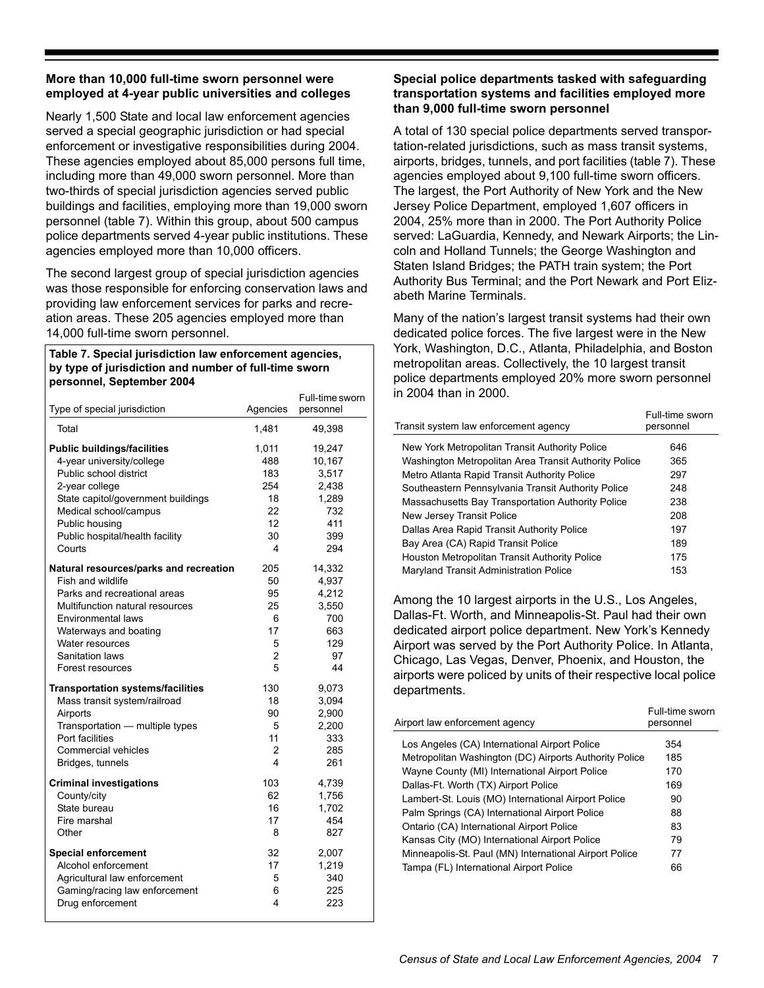#### **More than 10,000 full-time sworn personnel were employed at 4-year public universities and colleges**

Nearly 1,500 State and local law enforcement agencies served a special geographic jurisdiction or had special enforcement or investigative responsibilities during 2004. These agencies employed about 85,000 persons full time, including more than 49,000 sworn personnel. More than two-thirds of special jurisdiction agencies served public buildings and facilities, employing more than 19,000 sworn personnel (table 7). Within this group, about 500 campus police departments served 4-year public institutions. These agencies employed more than 10,000 officers.

The second largest group of special jurisdiction agencies was those responsible for enforcing conservation laws and providing law enforcement services for parks and recreation areas. These 205 agencies employed more than 14,000 full-time sworn personnel.

#### **Table 7. Special jurisdiction law enforcement agencies, by type of jurisdiction and number of full-time sworn personnel, September 2004**

| Type of special jurisdiction             | Agencies | Full-time sworn<br>personnel |
|------------------------------------------|----------|------------------------------|
| Total                                    | 1,481    | 49,398                       |
| <b>Public buildings/facilities</b>       | 1,011    | 19,247                       |
| 4-year university/college                | 488      | 10,167                       |
| Public school district                   | 183      | 3,517                        |
| 2-year college                           | 254      | 2,438                        |
| State capitol/government buildings       | 18       | 1,289                        |
| Medical school/campus                    | 22       | 732                          |
| Public housing                           | 12       | 411                          |
| Public hospital/health facility          | 30       | 399                          |
| Courts                                   | 4        | 294                          |
| Natural resources/parks and recreation   | 205      | 14,332                       |
| Fish and wildlife                        | 50       | 4,937                        |
| Parks and recreational areas             | 95       | 4,212                        |
| Multifunction natural resources          | 25       | 3,550                        |
| Environmental laws                       | 6        | 700                          |
| Waterways and boating                    | 17       | 663                          |
| Water resources                          | 5        | 129                          |
| Sanitation laws                          | 2        | 97                           |
| Forest resources                         | 5        | 44                           |
| <b>Transportation systems/facilities</b> | 130      | 9,073                        |
| Mass transit system/railroad             | 18       | 3,094                        |
| Airports                                 | 90       | 2,900                        |
| Transportation - multiple types          | 5        | 2,200                        |
| Port facilities                          | 11       | 333                          |
| <b>Commercial vehicles</b>               | 2        | 285                          |
| Bridges, tunnels                         | 4        | 261                          |
| <b>Criminal investigations</b>           | 103      | 4,739                        |
| County/city                              | 62       | 1,756                        |
| State bureau                             | 16       | 1,702                        |
| Fire marshal                             | 17       | 454                          |
| Other                                    | 8        | 827                          |
| <b>Special enforcement</b>               | 32       | 2,007                        |
| Alcohol enforcement                      | 17       | 1,219                        |
| Agricultural law enforcement             | 5        | 340                          |
| Gaming/racing law enforcement            | 6        | 225                          |
| Drug enforcement                         | 4        | 223                          |

#### **Special police departments tasked with safeguarding transportation systems and facilities employed more than 9,000 full-time sworn personnel**

A total of 130 special police departments served transportation-related jurisdictions, such as mass transit systems, airports, bridges, tunnels, and port facilities (table 7). These agencies employed about 9,100 full-time sworn officers. The largest, the Port Authority of New York and the New Jersey Police Department, employed 1,607 officers in 2004, 25% more than in 2000. The Port Authority Police served: LaGuardia, Kennedy, and Newark Airports; the Lincoln and Holland Tunnels; the George Washington and Staten Island Bridges; the PATH train system; the Port Authority Bus Terminal; and the Port Newark and Port Elizabeth Marine Terminals.

Many of the nation's largest transit systems had their own dedicated police forces. The five largest were in the New York, Washington, D.C., Atlanta, Philadelphia, and Boston metropolitan areas. Collectively, the 10 largest transit police departments employed 20% more sworn personnel in 2004 than in 2000.

| Transit system law enforcement agency                 | Full-time sworn<br>personnel |
|-------------------------------------------------------|------------------------------|
| New York Metropolitan Transit Authority Police        | 646                          |
| Washington Metropolitan Area Transit Authority Police | 365                          |
| Metro Atlanta Rapid Transit Authority Police          | 297                          |
| Southeastern Pennsylvania Transit Authority Police    | 248                          |
| Massachusetts Bay Transportation Authority Police     | 238                          |
| New Jersey Transit Police                             | 208                          |
| Dallas Area Rapid Transit Authority Police            | 197                          |
| Bay Area (CA) Rapid Transit Police                    | 189                          |
| Houston Metropolitan Transit Authority Police         | 175                          |
| Maryland Transit Administration Police                | 153                          |
|                                                       |                              |

Among the 10 largest airports in the U.S., Los Angeles, Dallas-Ft. Worth, and Minneapolis-St. Paul had their own dedicated airport police department. New York's Kennedy Airport was served by the Port Authority Police. In Atlanta, Chicago, Las Vegas, Denver, Phoenix, and Houston, the airports were policed by units of their respective local police departments.

| Los Angeles (CA) International Airport Police<br>354<br>Metropolitan Washington (DC) Airports Authority Police<br>185<br>Wayne County (MI) International Airport Police<br>170<br>Dallas-Ft. Worth (TX) Airport Police<br>169<br>Lambert-St. Louis (MO) International Airport Police<br>90<br>Palm Springs (CA) International Airport Police<br>88 |  |
|----------------------------------------------------------------------------------------------------------------------------------------------------------------------------------------------------------------------------------------------------------------------------------------------------------------------------------------------------|--|
|                                                                                                                                                                                                                                                                                                                                                    |  |
|                                                                                                                                                                                                                                                                                                                                                    |  |
|                                                                                                                                                                                                                                                                                                                                                    |  |
|                                                                                                                                                                                                                                                                                                                                                    |  |
|                                                                                                                                                                                                                                                                                                                                                    |  |
|                                                                                                                                                                                                                                                                                                                                                    |  |
| Ontario (CA) International Airport Police<br>83                                                                                                                                                                                                                                                                                                    |  |
| Kansas City (MO) International Airport Police<br>79                                                                                                                                                                                                                                                                                                |  |
| Minneapolis-St. Paul (MN) International Airport Police<br>77                                                                                                                                                                                                                                                                                       |  |
| Tampa (FL) International Airport Police<br>66                                                                                                                                                                                                                                                                                                      |  |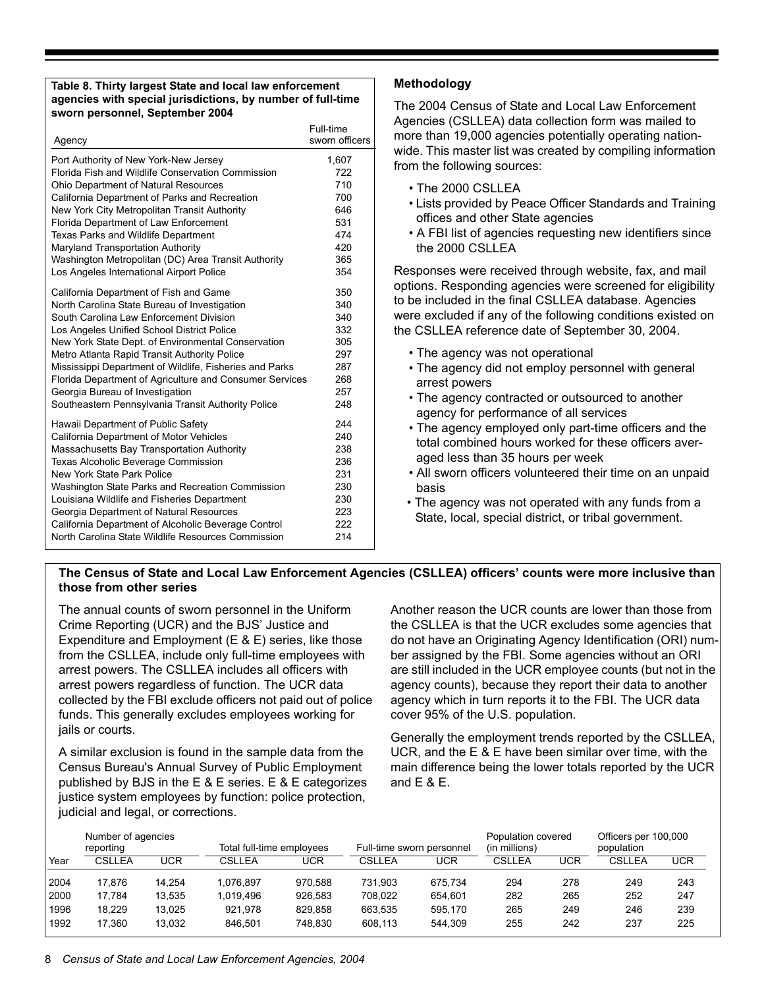#### **Table 8. Thirty largest State and local law enforcement agencies with special jurisdictions, by number of full-time sworn personnel, September 2004**

| Agency                                                  | Full-time<br>sworn officers |
|---------------------------------------------------------|-----------------------------|
| Port Authority of New York-New Jersey                   | 1,607                       |
| Florida Fish and Wildlife Conservation Commission       | 722                         |
| Ohio Department of Natural Resources                    | 710                         |
| California Department of Parks and Recreation           | 700                         |
| New York City Metropolitan Transit Authority            | 646                         |
| Florida Department of Law Enforcement                   | 531                         |
| Texas Parks and Wildlife Department                     | 474                         |
| Maryland Transportation Authority                       | 420                         |
| Washington Metropolitan (DC) Area Transit Authority     | 365                         |
| Los Angeles International Airport Police                | 354                         |
| California Department of Fish and Game                  | 350                         |
| North Carolina State Bureau of Investigation            | 340                         |
| South Carolina Law Enforcement Division                 | 340                         |
| Los Angeles Unified School District Police              | 332                         |
| New York State Dept. of Environmental Conservation      | 305                         |
| Metro Atlanta Rapid Transit Authority Police            | 297                         |
| Mississippi Department of Wildlife, Fisheries and Parks | 287                         |
| Florida Department of Agriculture and Consumer Services | 268                         |
| Georgia Bureau of Investigation                         | 257                         |
| Southeastern Pennsylvania Transit Authority Police      | 248                         |
| Hawaii Department of Public Safety                      | 244                         |
| California Department of Motor Vehicles                 | 240                         |
| Massachusetts Bay Transportation Authority              | 238                         |
| <b>Texas Alcoholic Beverage Commission</b>              | 236                         |
| New York State Park Police                              | 231                         |
| Washington State Parks and Recreation Commission        | 230                         |
| Louisiana Wildlife and Fisheries Department             | 230                         |
| Georgia Department of Natural Resources                 | 223                         |
| California Department of Alcoholic Beverage Control     | 222                         |
| North Carolina State Wildlife Resources Commission      | 214                         |

#### **Methodology**

The 2004 Census of State and Local Law Enforcement Agencies (CSLLEA) data collection form was mailed to more than 19,000 agencies potentially operating nationwide. This master list was created by compiling information from the following sources:

- The 2000 CSLLEA
- Lists provided by Peace Officer Standards and Training offices and other State agencies
- A FBI list of agencies requesting new identifiers since the 2000 CSLLEA

Responses were received through website, fax, and mail options. Responding agencies were screened for eligibility to be included in the final CSLLEA database. Agencies were excluded if any of the following conditions existed on the CSLLEA reference date of September 30, 2004.

- The agency was not operational
- The agency did not employ personnel with general arrest powers
- The agency contracted or outsourced to another agency for performance of all services
- The agency employed only part-time officers and the total combined hours worked for these officers averaged less than 35 hours per week
- All sworn officers volunteered their time on an unpaid basis
- The agency was not operated with any funds from a State, local, special district, or tribal government.

#### **The Census of State and Local Law Enforcement Agencies (CSLLEA) officers' counts were more inclusive than those from other series**

The annual counts of sworn personnel in the Uniform Crime Reporting (UCR) and the BJS' Justice and Expenditure and Employment (E & E) series, like those from the CSLLEA, include only full-time employees with arrest powers. The CSLLEA includes all officers with arrest powers regardless of function. The UCR data collected by the FBI exclude officers not paid out of police funds. This generally excludes employees working for jails or courts.

A similar exclusion is found in the sample data from the Census Bureau's Annual Survey of Public Employment published by BJS in the E & E series. E & E categorizes justice system employees by function: police protection, judicial and legal, or corrections.

Another reason the UCR counts are lower than those from the CSLLEA is that the UCR excludes some agencies that do not have an Originating Agency Identification (ORI) number assigned by the FBI. Some agencies without an ORI are still included in the UCR employee counts (but not in the agency counts), because they report their data to another agency which in turn reports it to the FBI. The UCR data cover 95% of the U.S. population.

Generally the employment trends reported by the CSLLEA, UCR, and the E & E have been similar over time, with the main difference being the lower totals reported by the UCR and E & E.

| Number of agencies<br>reporting |        | Total full-time employees |           | Full-time sworn personnel |         | Population covered<br>(in millions) |        | Officers per 100,000<br>population |               |            |
|---------------------------------|--------|---------------------------|-----------|---------------------------|---------|-------------------------------------|--------|------------------------------------|---------------|------------|
| Year                            | CSLLEA | <b>UCR</b>                | CSLLEA    | UCR                       | CSLLEA  | <b>UCR</b>                          | CSLLEA | UCR                                | <b>CSLLEA</b> | <b>UCR</b> |
| 2004                            | 17.876 | 14.254                    | 1.076.897 | 970.588                   | 731.903 | 675.734                             | 294    | 278                                | 249           | 243        |
| 2000                            | 17.784 | 13.535                    | 1.019.496 | 926.583                   | 708.022 | 654.601                             | 282    | 265                                | 252           | 247        |
| 1996                            | 18.229 | 13.025                    | 921.978   | 829.858                   | 663.535 | 595.170                             | 265    | 249                                | 246           | 239        |
| 1992                            | 17.360 | 13.032                    | 846.501   | 748.830                   | 608.113 | 544.309                             | 255    | 242                                | 237           | 225        |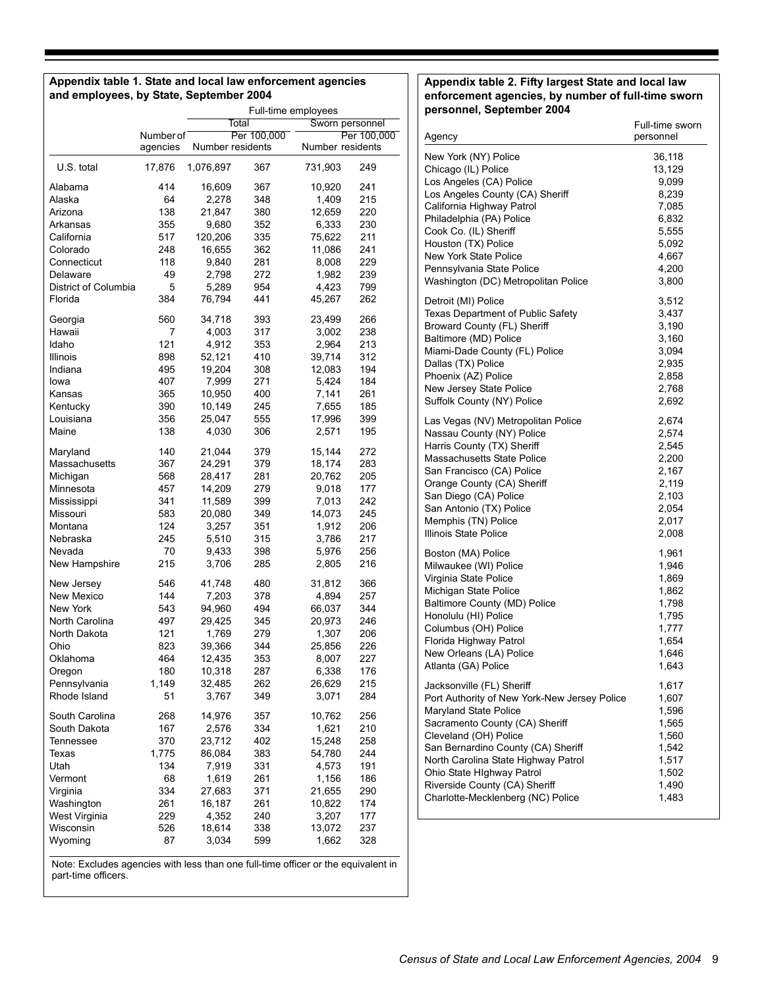#### **Appendix table 1. State and local law enforcement agencies and employees, by State, September 2004**

|                      | Full-time employees      |                  |             |                  |             |  |
|----------------------|--------------------------|------------------|-------------|------------------|-------------|--|
|                      | Sworn personnel<br>Total |                  |             |                  |             |  |
|                      | Number of                |                  | Per 100,000 |                  | Per 100,000 |  |
|                      | agencies                 | Number residents |             | Number residents |             |  |
| U.S. total           | 17,876                   | 1,076,897        | 367         | 731,903          | 249         |  |
| Alabama              | 414                      | 16,609           | 367         | 10,920           | 241         |  |
| Alaska               | 64                       | 2,278            | 348         | 1,409            | 215         |  |
| Arizona              | 138                      | 21,847           | 380         | 12,659           | 220         |  |
| Arkansas             | 355                      | 9,680            | 352         | 6,333            | 230         |  |
| California           | 517                      | 120,206          | 335         | 75,622           | 211         |  |
| Colorado             | 248                      | 16,655           | 362         | 11,086           | 241         |  |
| Connecticut          | 118                      | 9,840            | 281         | 8,008            | 229         |  |
| Delaware             | 49                       | 2,798            | 272         | 1,982            | 239         |  |
| District of Columbia | 5                        | 5,289            | 954         | 4,423            | 799         |  |
| Florida              | 384                      | 76,794           | 441         | 45,267           | 262         |  |
| Georgia              | 560                      | 34,718           | 393         | 23,499           | 266         |  |
| Hawaii               | 7                        | 4,003            | 317         | 3,002            | 238         |  |
| Idaho                | 121                      | 4,912            | 353         | 2,964            | 213         |  |
| Illinois             | 898                      | 52,121           | 410         | 39,714           | 312         |  |
| Indiana              | 495                      | 19,204           | 308         | 12,083           | 194         |  |
| lowa                 | 407                      | 7,999            | 271         | 5,424            | 184         |  |
| Kansas               | 365                      | 10,950           | 400         | 7,141            | 261         |  |
| Kentucky             | 390                      | 10,149           | 245         | 7,655            | 185         |  |
| Louisiana            | 356                      | 25,047           | 555         | 17,996           | 399         |  |
| Maine                | 138                      | 4,030            | 306         | 2,571            | 195         |  |
| Maryland             | 140                      | 21,044           | 379         | 15,144           | 272         |  |
| Massachusetts        | 367                      | 24,291           | 379         | 18,174           | 283         |  |
| Michigan             | 568                      | 28,417           | 281         | 20,762           | 205         |  |
| Minnesota            | 457                      | 14,209           | 279         | 9,018            | 177         |  |
| Mississippi          | 341                      | 11,589           | 399         | 7,013            | 242         |  |
| Missouri             | 583                      | 20,080           | 349         | 14,073           | 245         |  |
| Montana              | 124                      | 3,257            | 351         | 1,912            | 206         |  |
| Nebraska             | 245                      | 5,510            | 315         | 3,786            | 217         |  |
| Nevada               | 70                       | 9,433            | 398         | 5,976            | 256         |  |
| New Hampshire        | 215                      | 3,706            | 285         | 2,805            | 216         |  |
| New Jersey           | 546                      | 41,748           | 480         | 31,812           | 366         |  |
| New Mexico           | 144                      | 7,203            | 378         | 4,894            | 257         |  |
| New York             | 543                      | 94,960           | 494         | 66,037           | 344         |  |
| North Carolina       | 497                      | 29,425           | 345         | 20,973           | 246         |  |
| North Dakota         | 121                      | 1,769            | 279         | 1,307            | 206         |  |
| Ohio                 | 823                      | 39,366           | 344         | 25,856           | 226         |  |
| Oklahoma             | 464                      | 12,435           | 353         | 8,007            | 227         |  |
| Oregon               | 180                      | 10,318           | 287         | 6,338            | 176         |  |
| Pennsylvania         | 1,149                    | 32,485           | 262         | 26,629           | 215         |  |
| Rhode Island         | 51                       | 3,767            | 349         | 3,071            | 284         |  |
| South Carolina       | 268                      | 14,976           | 357         | 10,762           | 256         |  |
| South Dakota         | 167                      | 2,576            | 334         | 1,621            | 210         |  |
| Tennessee            | 370                      | 23,712           | 402         | 15,248           | 258         |  |
| Texas                | 1,775                    | 86,084           | 383         | 54,780           | 244         |  |
| Utah                 | 134                      | 7,919            | 331         | 4,573            | 191         |  |
| Vermont              | 68                       | 1,619            | 261         | 1,156            | 186         |  |
| Virginia             | 334                      | 27,683           | 371         | 21,655           | 290         |  |
| Washington           | 261                      | 16,187           | 261         | 10,822           | 174         |  |
| West Virginia        | 229                      | 4,352            | 240         | 3,207            | 177         |  |
| Wisconsin            | 526                      | 18,614           | 338         | 13,072           | 237         |  |
| Wyoming              | 87                       | 3,034            | 599         | 1,662            | 328         |  |
|                      |                          |                  |             |                  |             |  |

Note: Excludes agencies with less than one full-time officer or the equivalent in part-time officers.

#### **Appendix table 2. Fifty largest State and local law enforcement agencies, by number of full-time sworn personnel, September 2004**

| Agency                                       | Full-time sworn<br>personnel |
|----------------------------------------------|------------------------------|
| New York (NY) Police                         | 36,118                       |
| Chicago (IL) Police                          | 13,129                       |
| Los Angeles (CA) Police                      | 9,099                        |
| Los Angeles County (CA) Sheriff              | 8,239                        |
| California Highway Patrol                    | 7,085                        |
| Philadelphia (PA) Police                     | 6,832                        |
| Cook Co. (IL) Sheriff                        | 5,555                        |
| Houston (TX) Police                          | 5,092                        |
| <b>New York State Police</b>                 | 4,667                        |
| Pennsylvania State Police                    | 4,200                        |
| Washington (DC) Metropolitan Police          | 3,800                        |
| Detroit (MI) Police                          | 3,512                        |
| Texas Department of Public Safety            | 3,437                        |
| Broward County (FL) Sheriff                  | 3,190                        |
| Baltimore (MD) Police                        | 3,160                        |
| Miami-Dade County (FL) Police                | 3,094                        |
| Dallas (TX) Police                           | 2,935                        |
| Phoenix (AZ) Police                          | 2,858                        |
| New Jersey State Police                      | 2,768                        |
| Suffolk County (NY) Police                   | 2,692                        |
| Las Vegas (NV) Metropolitan Police           | 2,674                        |
| Nassau County (NY) Police                    | 2,574                        |
| Harris County (TX) Sheriff                   | 2,545                        |
| Massachusetts State Police                   | 2,200                        |
| San Francisco (CA) Police                    | 2,167                        |
| Orange County (CA) Sheriff                   | 2,119                        |
| San Diego (CA) Police                        | 2,103                        |
| San Antonio (TX) Police                      | 2,054                        |
| Memphis (TN) Police                          | 2,017                        |
| Illinois State Police                        | 2,008                        |
| Boston (MA) Police                           | 1,961                        |
| Milwaukee (WI) Police                        | 1,946                        |
| Virginia State Police                        | 1,869                        |
| Michigan State Police                        | 1,862                        |
| Baltimore County (MD) Police                 | 1,798                        |
| Honolulu (HI) Police                         | 1,795                        |
| Columbus (OH) Police                         | 1,777                        |
| Florida Highway Patrol                       | 1,654                        |
| New Orleans (LA) Police                      | 1,646                        |
| Atlanta (GA) Police                          | 1,643                        |
| Jacksonville (FL) Sheriff                    | 1,617                        |
| Port Authority of New York-New Jersey Police | 1,607                        |
| Maryland State Police                        | 1,596                        |
| Sacramento County (CA) Sheriff               | 1,565                        |
| Cleveland (OH) Police                        | 1,560                        |
| San Bernardino County (CA) Sheriff           | 1,542                        |
| North Carolina State Highway Patrol          | 1,517                        |
| Ohio State HIghway Patrol                    | 1,502                        |
| Riverside County (CA) Sheriff                | 1,490                        |
| Charlotte-Mecklenberg (NC) Police            | 1,483                        |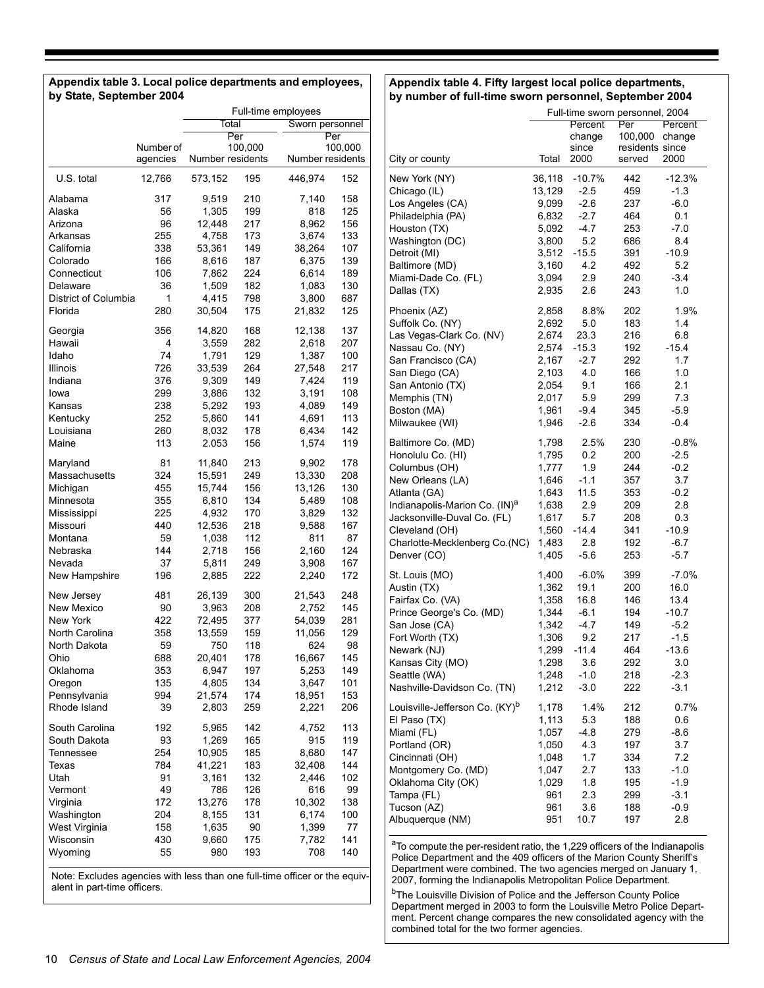| Appendix table 3. Local police departments and employees, |
|-----------------------------------------------------------|
| by State, September 2004                                  |

#### **Appendix table 4. Fifty largest local police departments, by number of full-time sworn personnel, September 2004**

|                              |                       | Full-time employees |            |                  |            |  |
|------------------------------|-----------------------|---------------------|------------|------------------|------------|--|
|                              |                       | Total               |            | Sworn personnel  |            |  |
|                              |                       |                     | Per        | Per              |            |  |
|                              | Number of<br>agencies | Number residents    | 100,000    | Number residents | 100,000    |  |
| U.S. total                   | 12,766                | 573,152             | 195        | 446,974          | 152        |  |
| Alabama                      | 317                   | 9,519               | 210        | 7,140            | 158        |  |
| Alaska                       | 56                    | 1,305               | 199        | 818              | 125        |  |
| Arizona                      | 96                    | 12,448              | 217        | 8,962            | 156        |  |
| Arkansas                     | 255                   | 4,758               | 173        | 3,674            | 133        |  |
| California                   | 338                   | 53,361              | 149        | 38,264           | 107        |  |
| Colorado                     | 166                   | 8,616               | 187        | 6,375            | 139        |  |
| Connecticut                  | 106                   | 7,862               | 224        | 6,614            | 189        |  |
| Delaware                     | 36                    | 1,509               | 182        | 1,083            | 130        |  |
| District of Columbia         | 1                     | 4,415               | 798        | 3,800            | 687        |  |
| Florida                      | 280                   | 30,504              | 175        | 21,832           | 125        |  |
| Georgia                      | 356                   | 14,820              | 168        | 12,138           | 137        |  |
| Hawaii                       | 4                     | 3,559               | 282        | 2,618            | 207        |  |
| Idaho                        | 74                    | 1,791               | 129        | 1,387            | 100        |  |
| Illinois                     | 726                   | 33,539              | 264        | 27,548           | 217        |  |
| Indiana                      | 376                   | 9,309               | 149        | 7,424            | 119        |  |
| lowa                         | 299                   | 3,886               | 132        | 3,191            | 108        |  |
| Kansas                       | 238                   | 5,292               | 193        | 4,089            | 149<br>113 |  |
| Kentucky                     | 252                   | 5,860               | 141        | 4,691            |            |  |
| Louisiana<br>Maine           | 260<br>113            | 8,032<br>2.053      | 178<br>156 | 6,434<br>1,574   | 142<br>119 |  |
| Maryland                     | 81                    | 11,840              | 213        | 9,902            | 178        |  |
| Massachusetts                | 324                   | 15,591              | 249        | 13,330           | 208        |  |
| Michigan                     | 455                   | 15,744              | 156        | 13,126           | 130        |  |
| Minnesota                    | 355                   | 6,810               | 134        | 5,489            | 108        |  |
| Mississippi                  | 225                   | 4,932               | 170        | 3,829            | 132        |  |
| Missouri                     | 440                   | 12,536              | 218        | 9,588            | 167        |  |
| Montana                      | 59                    | 1,038               | 112        | 811              | 87         |  |
| Nebraska                     | 144                   | 2,718               | 156        | 2,160            | 124        |  |
| Nevada                       | 37                    | 5,811               | 249        | 3,908            | 167        |  |
| New Hampshire                | 196                   | 2,885               | 222        | 2,240            | 172        |  |
| New Jersey                   | 481                   | 26,139              | 300        | 21,543           | 248        |  |
| New Mexico                   | 90                    | 3,963               | 208        | 2,752            | 145        |  |
| New York                     | 422                   | 72,495              | 377        | 54,039           | 281        |  |
| North Carolina               | 358                   | 13,559              | 159        | 11,056           | 129        |  |
| North Dakota                 | 59                    | 750                 | 118        | 624              | 98         |  |
| Ohio                         | 688                   | 20,401              | 178        | 16,667           | 145        |  |
| Oklahoma                     | 353                   | 6,947               | 197        | 5,253            | 149        |  |
| Oregon                       | 135                   | 4,805               | 134        | 3,647            | 101        |  |
| Pennsylvania<br>Rhode Island | 994<br>39             | 21,574<br>2,803     | 174<br>259 | 18,951<br>2,221  | 153<br>206 |  |
| South Carolina               | 192                   |                     |            |                  | 113        |  |
| South Dakota                 | 93                    | 5,965               | 142<br>165 | 4,752<br>915     | 119        |  |
| Tennessee                    | 254                   | 1,269<br>10,905     | 185        | 8,680            | 147        |  |
| Texas                        | 784                   | 41,221              | 183        | 32,408           | 144        |  |
| Utah                         | 91                    | 3,161               | 132        | 2,446            | 102        |  |
| Vermont                      | 49                    | 786                 | 126        | 616              | 99         |  |
| Virginia                     | 172                   | 13,276              | 178        | 10,302           | 138        |  |
| Washington                   | 204                   | 8,155               | 131        | 6,174            | 100        |  |
| West Virginia                | 158                   | 1,635               | 90         | 1,399            | 77         |  |
| Wisconsin                    | 430                   | 9,660               | 175        | 7,782            | 141        |  |
| Wyoming                      | 55                    | 980                 | 193        | 708              | 140        |  |
|                              |                       |                     |            |                  |            |  |

Note: Excludes agencies with less than one full-time officer or the equivalent in part-time officers.

|                                               | Full-time sworn personnel, 2004 |                 |                            |                   |  |
|-----------------------------------------------|---------------------------------|-----------------|----------------------------|-------------------|--|
|                                               | Percent<br>Per                  |                 |                            | Percent<br>change |  |
|                                               |                                 | change<br>since | 100,000<br>residents since |                   |  |
| City or county                                | Total                           | 2000            | served                     | 2000              |  |
| New York (NY)                                 | 36,118                          | $-10.7%$        | 442                        | $-12.3%$          |  |
| Chicago (IL)                                  | 13,129                          | $-2.5$          | 459                        | $-1.3$            |  |
| Los Angeles (CA)                              | 9,099                           | $-2.6$          | 237                        | $-6.0$            |  |
| Philadelphia (PA)                             | 6,832                           | $-2.7$          | 464                        | 0.1               |  |
| Houston (TX)                                  | 5,092                           | $-4.7$          | 253                        | $-7.0$            |  |
| Washington (DC)                               | 3,800                           | 5.2<br>$-15.5$  | 686<br>391                 | 8.4<br>$-10.9$    |  |
| Detroit (MI)<br>Baltimore (MD)                | 3,512<br>3,160                  | 4.2             | 492                        | 5.2               |  |
| Miami-Dade Co. (FL)                           | 3,094                           | 2.9             | 240                        | $-3.4$            |  |
| Dallas (TX)                                   | 2,935                           | 2.6             | 243                        | 1.0               |  |
| Phoenix (AZ)                                  | 2,858                           | 8.8%            | 202                        | 1.9%              |  |
| Suffolk Co. (NY)                              | 2,692                           | 5.0             | 183                        | 1.4               |  |
| Las Vegas-Clark Co. (NV)                      | 2,674                           | 23.3            | 216                        | 6.8               |  |
| Nassau Co. (NY)                               | 2,574                           | $-15.3$         | 192                        | $-15.4$           |  |
| San Francisco (CA)                            | 2,167                           | $-2.7$          | 292                        | 1.7               |  |
| San Diego (CA)                                | 2,103                           | 4.0             | 166                        | 1.0               |  |
| San Antonio (TX)                              | 2,054                           | 9.1             | 166                        | 2.1               |  |
| Memphis (TN)                                  | 2,017                           | 5.9             | 299                        | 7.3               |  |
| Boston (MA)                                   | 1,961                           | $-9.4$          | 345                        | $-5.9$            |  |
| Milwaukee (WI)                                | 1,946                           | $-2.6$          | 334                        | $-0.4$            |  |
| Baltimore Co. (MD)                            | 1,798                           | 2.5%            | 230                        | $-0.8%$           |  |
| Honolulu Co. (HI)                             | 1,795                           | 0.2             | 200                        | $-2.5$            |  |
| Columbus (OH)                                 | 1,777                           | 1.9             | 244                        | $-0.2$            |  |
| New Orleans (LA)                              | 1,646                           | $-1.1$          | 357                        | 3.7               |  |
| Atlanta (GA)                                  | 1,643                           | 11.5            | 353                        | $-0.2$            |  |
| Indianapolis-Marion Co. (IN) <sup>a</sup>     | 1,638                           | 2.9             | 209                        | 2.8               |  |
| Jacksonville-Duval Co. (FL)<br>Cleveland (OH) | 1,617<br>1,560                  | 5.7<br>$-14.4$  | 208<br>341                 | 0.3<br>$-10.9$    |  |
| Charlotte-Mecklenberg Co.(NC)                 | 1,483                           | 2.8             | 192                        | $-6.7$            |  |
| Denver (CO)                                   | 1,405                           | $-5.6$          | 253                        | $-5.7$            |  |
| St. Louis (MO)                                | 1,400                           | $-6.0\%$        | 399                        | $-7.0\%$          |  |
| Austin (TX)                                   | 1,362                           | 19.1            | 200                        | 16.0              |  |
| Fairfax Co. (VA)                              | 1,358                           | 16.8            | 146                        | 13.4              |  |
| Prince George's Co. (MD)                      | 1,344                           | $-6.1$          | 194                        | $-10.7$           |  |
| San Jose (CA)                                 | 1,342                           | $-4.7$          | 149                        | $-5.2$            |  |
| Fort Worth (TX)                               | 1,306                           | 9.2             | 217                        | $-1.5$            |  |
| Newark (NJ)                                   | 1,299                           | $-11.4$         | 464                        | $-13.6$           |  |
| Kansas City (MO)                              | 1,298                           | 3.6             | 292                        | 3.0               |  |
| Seattle (WA)                                  | 1,248                           | $-1.0$          | 218                        | $-2.3$            |  |
| Nashville-Davidson Co. (TN)                   | 1,212                           | $-3.0$          | 222                        | $-3.1$            |  |
| Louisville-Jefferson Co. (KY) <sup>b</sup>    | 1,178                           | 1.4%            | 212                        | 0.7%              |  |
| El Paso (TX)                                  | 1,113                           | 5.3             | 188                        | 0.6               |  |
| Miami (FL)                                    | 1,057                           | $-4.8$          | 279                        | -8.6              |  |
| Portland (OR)                                 | 1,050                           | 4.3             | 197                        | 3.7               |  |
| Cincinnati (OH)                               | 1,048<br>1,047                  | 1.7<br>2.7      | 334<br>133                 | 7.2<br>$-1.0$     |  |
| Montgomery Co. (MD)<br>Oklahoma City (OK)     | 1,029                           | 1.8             | 195                        | $-1.9$            |  |
| Tampa (FL)                                    | 961                             | 2.3             | 299                        | $-3.1$            |  |
| Tucson (AZ)                                   | 961                             | 3.6             | 188                        | $-0.9$            |  |
| Albuquerque (NM)                              | 951                             | 10.7            | 197                        | 2.8               |  |
|                                               |                                 |                 |                            |                   |  |

aTo compute the per-resident ratio, the 1,229 officers of the Indianapolis Police Department and the 409 officers of the Marion County Sheriff's Department were combined. The two agencies merged on January 1, 2007, forming the Indianapolis Metropolitan Police Department.

<sup>b</sup>The Louisville Division of Police and the Jefferson County Police Department merged in 2003 to form the Louisville Metro Police Department. Percent change compares the new consolidated agency with the combined total for the two former agencies.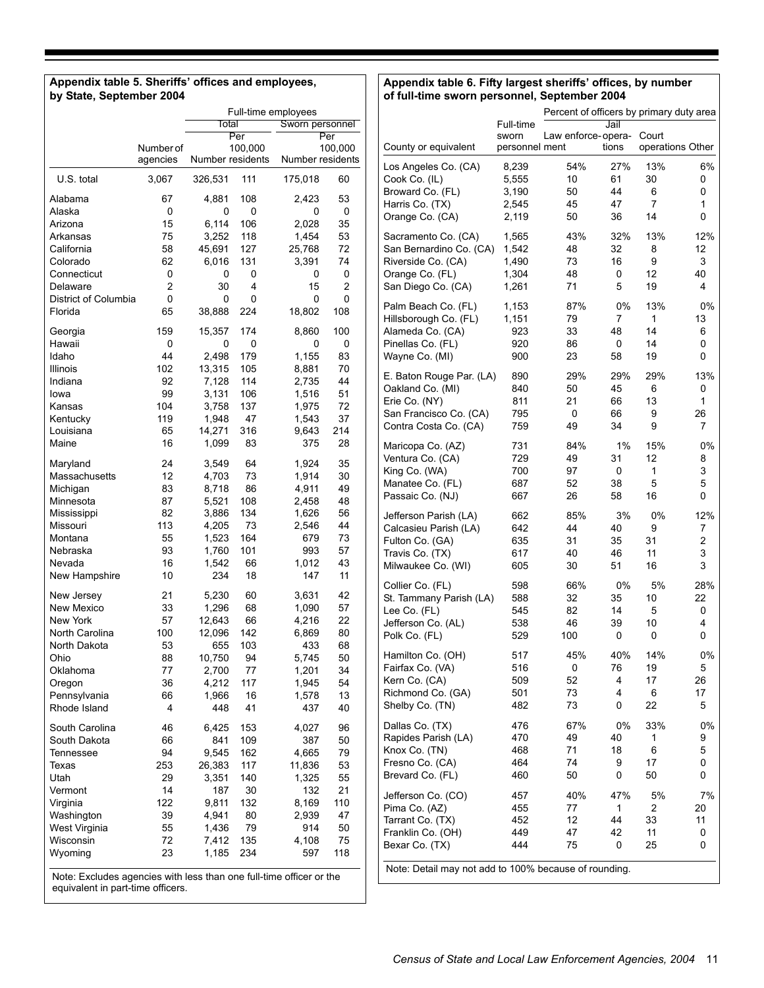#### **Appendix table 5. Sheriffs' offices and employees, by State, September 2004**

#### **Appendix table 6. Fifty largest sheriffs' offices, by number of full-time sworn personnel, September 2004**

|                                                                     |           | Full-time employees<br>Total<br>Sworn personnel |                           |                  |         |  |  |
|---------------------------------------------------------------------|-----------|-------------------------------------------------|---------------------------|------------------|---------|--|--|
|                                                                     |           |                                                 | $\overline{\mathsf{Per}}$ |                  | Per     |  |  |
|                                                                     | Number of |                                                 | 100,000                   |                  | 100,000 |  |  |
|                                                                     | agencies  | Number residents                                |                           | Number residents |         |  |  |
| U.S. total                                                          | 3,067     | 326,531                                         | 111                       | 175,018          | 60      |  |  |
| Alabama                                                             | 67        | 4,881                                           | 108                       | 2,423            | 53      |  |  |
| Alaska                                                              | 0         | 0                                               | 0                         | 0                | 0       |  |  |
| Arizona                                                             | 15        | 6,114                                           | 106                       | 2,028            | 35      |  |  |
| Arkansas                                                            | 75        | 3,252                                           | 118                       | 1,454            | 53      |  |  |
| California                                                          | 58        | 45,691                                          | 127                       | 25,768           | 72      |  |  |
| Colorado                                                            | 62        | 6.016                                           | 131                       | 3,391            | 74      |  |  |
| Connecticut                                                         | 0         | 0                                               | 0                         | 0                | 0       |  |  |
| Delaware                                                            | 2         | 30                                              | 4                         | 15               | 2       |  |  |
| District of Columbia                                                | 0         | 0                                               | 0                         | 0                | 0       |  |  |
| Florida                                                             | 65        | 38,888                                          | 224                       | 18,802           | 108     |  |  |
| Georgia                                                             | 159       | 15,357                                          | 174                       | 8,860            | 100     |  |  |
| Hawaii                                                              | 0         | 0                                               | 0                         | 0                | 0       |  |  |
| Idaho                                                               | 44        | 2,498                                           | 179                       | 1,155            | 83      |  |  |
| Illinois                                                            | 102       | 13,315                                          | 105                       | 8,881            | 70      |  |  |
| Indiana                                                             | 92        | 7,128                                           | 114                       | 2,735            | 44      |  |  |
| lowa                                                                | 99        | 3,131                                           | 106                       | 1,516            | 51      |  |  |
| Kansas                                                              | 104       | 3,758                                           | 137                       | 1,975            | 72      |  |  |
| Kentucky                                                            | 119       | 1,948                                           | 47                        | 1,543            | 37      |  |  |
| Louisiana                                                           | 65        | 14,271                                          | 316                       | 9,643            | 214     |  |  |
| Maine                                                               | 16        | 1,099                                           | 83                        | 375              | 28      |  |  |
| Maryland                                                            | 24        | 3,549                                           | 64                        | 1,924            | 35      |  |  |
| Massachusetts                                                       | 12        | 4,703                                           | 73                        | 1,914            | 30      |  |  |
| Michigan                                                            | 83        | 8,718                                           | 86                        | 4,911            | 49      |  |  |
| Minnesota                                                           | 87        | 5,521                                           | 108                       | 2,458            | 48      |  |  |
| Mississippi                                                         | 82        | 3,886                                           | 134                       | 1,626            | 56      |  |  |
| Missouri                                                            | 113       | 4,205                                           | 73                        | 2,546            | 44      |  |  |
| Montana                                                             | 55        | 1,523                                           | 164                       | 679              | 73      |  |  |
| Nebraska                                                            | 93        | 1,760                                           | 101                       | 993              | 57      |  |  |
| Nevada                                                              | 16        | 1,542                                           | 66                        | 1,012            | 43      |  |  |
| New Hampshire                                                       | 10        | 234                                             | 18                        | 147              | 11      |  |  |
| New Jersey                                                          | 21        | 5,230                                           | 60                        | 3,631            | 42      |  |  |
| New Mexico                                                          | 33        | 1,296                                           | 68                        | 1,090            | 57      |  |  |
| New York                                                            | 57        | 12,643                                          | 66                        | 4,216            | 22      |  |  |
| North Carolina                                                      | 100       | 12,096                                          | 142                       | 6,869            | 80      |  |  |
| North Dakota                                                        | 53        | 655                                             | 103                       | 433              | 68      |  |  |
| Ohio                                                                | 88        | 10,750                                          | 94                        | 5,745            | 50      |  |  |
| Oklahoma                                                            | 77        | 2,700                                           | 77                        | 1,201            | 34      |  |  |
| Oregon                                                              | 36        | 4,212                                           | 117                       | 1,945            | 54      |  |  |
| Pennsylvania                                                        | 66        | 1,966                                           | 16                        | 1,578            | 13      |  |  |
| Rhode Island                                                        | 4         | 448                                             | 41                        | 437              | 40      |  |  |
| South Carolina                                                      | 46        | 6,425                                           | 153                       | 4,027            | 96      |  |  |
| South Dakota                                                        | 66        | 841                                             | 109                       | 387              | 50      |  |  |
| Tennessee                                                           | 94        | 9,545                                           | 162                       | 4,665            | 79      |  |  |
| Texas                                                               | 253       | 26,383                                          | 117                       | 11,836           | 53      |  |  |
| Utah                                                                | 29        | 3,351                                           | 140                       | 1,325            | 55      |  |  |
| Vermont                                                             | 14        | 187                                             | 30                        | 132              | 21      |  |  |
| Virginia                                                            | 122       | 9,811                                           | 132                       | 8,169            | 110     |  |  |
| Washington                                                          | 39        | 4,941                                           | 80                        | 2,939            | 47      |  |  |
| West Virginia                                                       | 55        | 1,436                                           | 79                        | 914              | 50      |  |  |
| Wisconsin                                                           | 72        | 7,412                                           | 135                       | 4,108            | 75      |  |  |
| Wyoming                                                             | 23        | 1,185                                           | 234                       | 597              | 118     |  |  |
| Note: Excludes agencies with less than one full-time officer or the |           |                                                 |                           |                  |         |  |  |

equivalent in part-time officers.

|                                                       |                         | Percent of officers by primary duty area |          |          |                  |
|-------------------------------------------------------|-------------------------|------------------------------------------|----------|----------|------------------|
|                                                       | Full-time               |                                          | Jail     |          |                  |
| County or equivalent                                  | sworn<br>personnel ment | Law enforce-opera-                       | tions    | Court    | operations Other |
| Los Angeles Co. (CA)                                  | 8,239                   | 54%                                      | 27%      | 13%      | 6%               |
| Cook Co. (IL)                                         | 5,555                   | 10                                       | 61       | 30       | 0                |
| Broward Co. (FL)                                      | 3,190                   | 50                                       | 44       | 6        | 0                |
| Harris Co. (TX)                                       | 2,545                   | 45                                       | 47       | 7        | 1                |
| Orange Co. (CA)                                       | 2,119                   | 50                                       | 36       | 14       | 0                |
| Sacramento Co. (CA)                                   | 1,565                   | 43%                                      | 32%      | 13%      | 12%              |
| San Bernardino Co. (CA)                               | 1,542                   | 48                                       | 32       | 8        | 12               |
| Riverside Co. (CA)                                    | 1,490                   | 73                                       | 16       | 9        | 3                |
| Orange Co. (FL)                                       | 1,304                   | 48                                       | 0        | 12       | 40               |
| San Diego Co. (CA)                                    | 1,261                   | 71                                       | 5        | 19       | 4                |
| Palm Beach Co. (FL)                                   | 1,153                   | 87%                                      | 0%       | 13%      | 0%               |
| Hillsborough Co. (FL)                                 | 1,151                   | 79                                       | 7        | 1        | 13               |
| Alameda Co. (CA)                                      | 923                     | 33                                       | 48       | 14       | 6                |
| Pinellas Co. (FL)                                     | 920                     | 86                                       | 0        | 14       | 0                |
| Wayne Co. (MI)                                        | 900                     | 23                                       | 58       | 19       | 0                |
| E. Baton Rouge Par. (LA)                              | 890                     | 29%                                      | 29%      | 29%      | 13%              |
| Oakland Co. (MI)                                      | 840                     | 50                                       | 45       | 6        | 0                |
| Erie Co. (NY)                                         | 811                     | 21                                       | 66       | 13       | 1                |
| San Francisco Co. (CA)                                | 795                     | 0                                        | 66       | 9        | 26               |
| Contra Costa Co. (CA)                                 | 759                     | 49                                       | 34       | 9        | 7                |
| Maricopa Co. (AZ)                                     | 731                     | 84%                                      | 1%       | 15%      | 0%               |
| Ventura Co. (CA)                                      | 729                     | 49                                       | 31       | 12       | 8                |
| King Co. (WA)                                         | 700                     | 97                                       | 0        | 1        | 3                |
| Manatee Co. (FL)<br>Passaic Co. (NJ)                  | 687                     | 52                                       | 38       | 5        | 5<br>0           |
|                                                       | 667                     | 26                                       | 58       | 16       |                  |
| Jefferson Parish (LA)                                 | 662                     | 85%                                      | 3%       | 0%       | 12%              |
| Calcasieu Parish (LA)                                 | 642                     | 44                                       | 40       | 9        | 7                |
| Fulton Co. (GA)                                       | 635                     | 31                                       | 35       | 31       | $\overline{c}$   |
| Travis Co. (TX)                                       | 617                     | 40<br>30                                 | 46<br>51 | 11<br>16 | 3<br>3           |
| Milwaukee Co. (WI)                                    | 605                     |                                          |          |          |                  |
| Collier Co. (FL)                                      | 598                     | 66%                                      | 0%       | 5%       | 28%              |
| St. Tammany Parish (LA)                               | 588                     | 32                                       | 35       | 10       | 22               |
| Lee Co. (FL)                                          | 545                     | 82                                       | 14       | 5        | 0                |
| Jefferson Co. (AL)                                    | 538<br>529              | 46<br>100                                | 39<br>0  | 10<br>0  | 4<br>0           |
| Polk Co. (FL)                                         |                         |                                          |          |          |                  |
| Hamilton Co. (OH)                                     | 517                     | 45%                                      | 40%      | 14%      | 0%               |
| Fairfax Co. (VA)                                      | 516                     | $\mathbf 0$                              | 76       | 19       | 5                |
| Kern Co. (CA)                                         | 509                     | 52                                       | 4<br>4   | 17       | 26               |
| Richmond Co. (GA)                                     | 501<br>482              | 73<br>73                                 | 0        | 6<br>22  | 17<br>5          |
| Shelby Co. (TN)                                       |                         |                                          |          |          |                  |
| Dallas Co. (TX)                                       | 476                     | 67%                                      | 0%       | 33%      | 0%               |
| Rapides Parish (LA)                                   | 470                     | 49                                       | 40       | 1        | 9                |
| Knox Co. (TN)                                         | 468                     | 71                                       | 18       | 6        | 5                |
| Fresno Co. (CA)<br>Brevard Co. (FL)                   | 464<br>460              | 74<br>50                                 | 9<br>0   | 17<br>50 | 0<br>0           |
|                                                       |                         |                                          |          |          |                  |
| Jefferson Co. (CO)                                    | 457                     | 40%                                      | 47%      | 5%       | 7%               |
| Pima Co. (AZ)                                         | 455                     | 77                                       | 1        | 2        | 20               |
| Tarrant Co. (TX)                                      | 452                     | 12                                       | 44       | 33       | 11               |
| Franklin Co. (OH)                                     | 449                     | 47                                       | 42       | 11       | 0                |
| Bexar Co. (TX)                                        | 444                     | 75                                       | 0        | 25       | 0                |
| Note: Detail may not add to 100% because of rounding. |                         |                                          |          |          |                  |